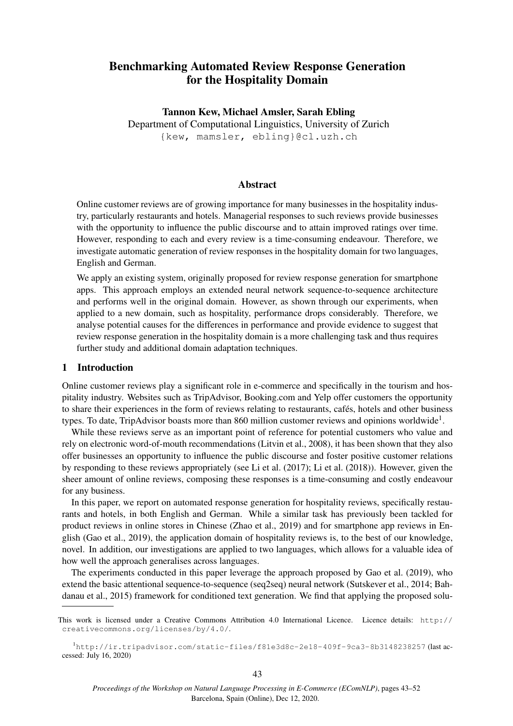# Benchmarking Automated Review Response Generation for the Hospitality Domain

Tannon Kew, Michael Amsler, Sarah Ebling Department of Computational Linguistics, University of Zurich {kew, mamsler, ebling}@cl.uzh.ch

## Abstract

Online customer reviews are of growing importance for many businesses in the hospitality industry, particularly restaurants and hotels. Managerial responses to such reviews provide businesses with the opportunity to influence the public discourse and to attain improved ratings over time. However, responding to each and every review is a time-consuming endeavour. Therefore, we investigate automatic generation of review responses in the hospitality domain for two languages, English and German.

We apply an existing system, originally proposed for review response generation for smartphone apps. This approach employs an extended neural network sequence-to-sequence architecture and performs well in the original domain. However, as shown through our experiments, when applied to a new domain, such as hospitality, performance drops considerably. Therefore, we analyse potential causes for the differences in performance and provide evidence to suggest that review response generation in the hospitality domain is a more challenging task and thus requires further study and additional domain adaptation techniques.

## 1 Introduction

Online customer reviews play a significant role in e-commerce and specifically in the tourism and hospitality industry. Websites such as TripAdvisor, Booking.com and Yelp offer customers the opportunity to share their experiences in the form of reviews relating to restaurants, cafés, hotels and other business types. To date, TripAdvisor boasts more than 860 million customer reviews and opinions worldwide<sup>1</sup>.

While these reviews serve as an important point of reference for potential customers who value and rely on electronic word-of-mouth recommendations (Litvin et al., 2008), it has been shown that they also offer businesses an opportunity to influence the public discourse and foster positive customer relations by responding to these reviews appropriately (see Li et al. (2017); Li et al. (2018)). However, given the sheer amount of online reviews, composing these responses is a time-consuming and costly endeavour for any business.

In this paper, we report on automated response generation for hospitality reviews, specifically restaurants and hotels, in both English and German. While a similar task has previously been tackled for product reviews in online stores in Chinese (Zhao et al., 2019) and for smartphone app reviews in English (Gao et al., 2019), the application domain of hospitality reviews is, to the best of our knowledge, novel. In addition, our investigations are applied to two languages, which allows for a valuable idea of how well the approach generalises across languages.

The experiments conducted in this paper leverage the approach proposed by Gao et al. (2019), who extend the basic attentional sequence-to-sequence (seq2seq) neural network (Sutskever et al., 2014; Bahdanau et al., 2015) framework for conditioned text generation. We find that applying the proposed solu-

This work is licensed under a Creative Commons Attribution 4.0 International Licence. Licence details: http:// creativecommons.org/licenses/by/4.0/.

<sup>1</sup>http://ir.tripadvisor.com/static-files/f81e3d8c-2e18-409f-9ca3-8b3148238257 (last accessed: July 16, 2020)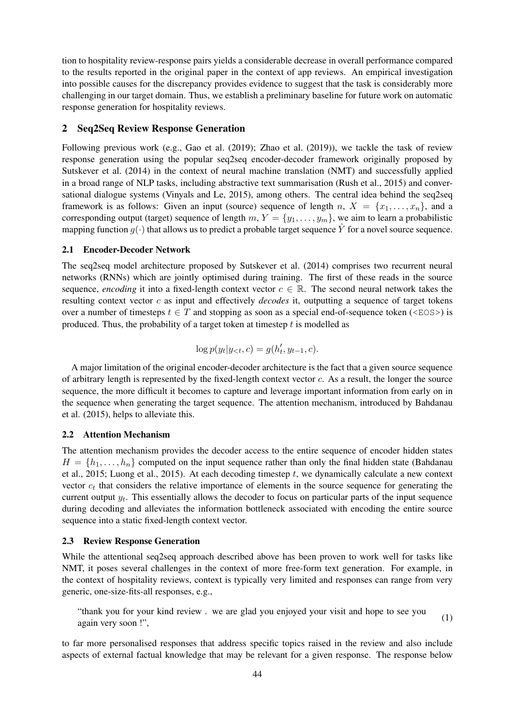tion to hospitality review-response pairs yields a considerable decrease in overall performance compared to the results reported in the original paper in the context of app reviews. An empirical investigation into possible causes for the discrepancy provides evidence to suggest that the task is considerably more challenging in our target domain. Thus, we establish a preliminary baseline for future work on automatic response generation for hospitality reviews.

## 2 Seq2Seq Review Response Generation

Following previous work (e.g., Gao et al. (2019); Zhao et al. (2019)), we tackle the task of review response generation using the popular seq2seq encoder-decoder framework originally proposed by Sutskever et al. (2014) in the context of neural machine translation (NMT) and successfully applied in a broad range of NLP tasks, including abstractive text summarisation (Rush et al., 2015) and conversational dialogue systems (Vinyals and Le, 2015), among others. The central idea behind the seq2seq framework is as follows: Given an input (source) sequence of length n,  $X = \{x_1, \ldots, x_n\}$ , and a corresponding output (target) sequence of length  $m, Y = \{y_1, \ldots, y_m\}$ , we aim to learn a probabilistic mapping function  $q(\cdot)$  that allows us to predict a probable target sequence Y for a novel source sequence.

## 2.1 Encoder-Decoder Network

The seq2seq model architecture proposed by Sutskever et al. (2014) comprises two recurrent neural networks (RNNs) which are jointly optimised during training. The first of these reads in the source sequence, *encoding* it into a fixed-length context vector  $c \in \mathbb{R}$ . The second neural network takes the resulting context vector c as input and effectively *decodes* it, outputting a sequence of target tokens over a number of timesteps  $t \in T$  and stopping as soon as a special end-of-sequence token (<EOS>) is produced. Thus, the probability of a target token at timestep  $t$  is modelled as

$$
\log p(y_t | y_{<}, c) = g(h'_t, y_{t-1}, c).
$$

A major limitation of the original encoder-decoder architecture is the fact that a given source sequence of arbitrary length is represented by the fixed-length context vector c. As a result, the longer the source sequence, the more difficult it becomes to capture and leverage important information from early on in the sequence when generating the target sequence. The attention mechanism, introduced by Bahdanau et al. (2015), helps to alleviate this.

## 2.2 Attention Mechanism

The attention mechanism provides the decoder access to the entire sequence of encoder hidden states  $H = \{h_1, \ldots, h_n\}$  computed on the input sequence rather than only the final hidden state (Bahdanau et al., 2015; Luong et al., 2015). At each decoding timestep  $t$ , we dynamically calculate a new context vector  $c_t$  that considers the relative importance of elements in the source sequence for generating the current output  $y_t$ . This essentially allows the decoder to focus on particular parts of the input sequence during decoding and alleviates the information bottleneck associated with encoding the entire source sequence into a static fixed-length context vector.

## 2.3 Review Response Generation

While the attentional seq2seq approach described above has been proven to work well for tasks like NMT, it poses several challenges in the context of more free-form text generation. For example, in the context of hospitality reviews, context is typically very limited and responses can range from very generic, one-size-fits-all responses, e.g.,

"thank you for your kind review . we are glad you enjoyed your visit and hope to see you again very soon !", (1)

to far more personalised responses that address specific topics raised in the review and also include aspects of external factual knowledge that may be relevant for a given response. The response below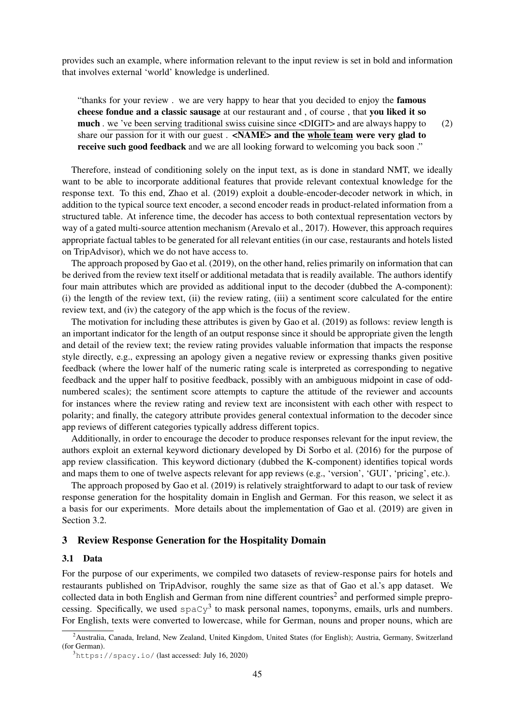provides such an example, where information relevant to the input review is set in bold and information that involves external 'world' knowledge is underlined.

"thanks for your review . we are very happy to hear that you decided to enjoy the famous cheese fondue and a classic sausage at our restaurant and , of course , that you liked it so much . we 've been serving traditional swiss cuisine since <DIGIT> and are always happy to share our passion for it with our guest. <NAME> and the whole team were very glad to receive such good feedback and we are all looking forward to welcoming you back soon." (2)

Therefore, instead of conditioning solely on the input text, as is done in standard NMT, we ideally want to be able to incorporate additional features that provide relevant contextual knowledge for the response text. To this end, Zhao et al. (2019) exploit a double-encoder-decoder network in which, in addition to the typical source text encoder, a second encoder reads in product-related information from a structured table. At inference time, the decoder has access to both contextual representation vectors by way of a gated multi-source attention mechanism (Arevalo et al., 2017). However, this approach requires appropriate factual tables to be generated for all relevant entities (in our case, restaurants and hotels listed on TripAdvisor), which we do not have access to.

The approach proposed by Gao et al. (2019), on the other hand, relies primarily on information that can be derived from the review text itself or additional metadata that is readily available. The authors identify four main attributes which are provided as additional input to the decoder (dubbed the A-component): (i) the length of the review text, (ii) the review rating, (iii) a sentiment score calculated for the entire review text, and (iv) the category of the app which is the focus of the review.

The motivation for including these attributes is given by Gao et al. (2019) as follows: review length is an important indicator for the length of an output response since it should be appropriate given the length and detail of the review text; the review rating provides valuable information that impacts the response style directly, e.g., expressing an apology given a negative review or expressing thanks given positive feedback (where the lower half of the numeric rating scale is interpreted as corresponding to negative feedback and the upper half to positive feedback, possibly with an ambiguous midpoint in case of oddnumbered scales); the sentiment score attempts to capture the attitude of the reviewer and accounts for instances where the review rating and review text are inconsistent with each other with respect to polarity; and finally, the category attribute provides general contextual information to the decoder since app reviews of different categories typically address different topics.

Additionally, in order to encourage the decoder to produce responses relevant for the input review, the authors exploit an external keyword dictionary developed by Di Sorbo et al. (2016) for the purpose of app review classification. This keyword dictionary (dubbed the K-component) identifies topical words and maps them to one of twelve aspects relevant for app reviews (e.g., 'version', 'GUI', 'pricing', etc.).

The approach proposed by Gao et al. (2019) is relatively straightforward to adapt to our task of review response generation for the hospitality domain in English and German. For this reason, we select it as a basis for our experiments. More details about the implementation of Gao et al. (2019) are given in Section 3.2.

#### 3 Review Response Generation for the Hospitality Domain

#### 3.1 Data

For the purpose of our experiments, we compiled two datasets of review-response pairs for hotels and restaurants published on TripAdvisor, roughly the same size as that of Gao et al.'s app dataset. We collected data in both English and German from nine different countries<sup>2</sup> and performed simple preprocessing. Specifically, we used  $\text{spaCy}^3$  to mask personal names, toponyms, emails, urls and numbers. For English, texts were converted to lowercase, while for German, nouns and proper nouns, which are

<sup>&</sup>lt;sup>2</sup>Australia, Canada, Ireland, New Zealand, United Kingdom, United States (for English); Austria, Germany, Switzerland (for German).

 $3$ https://spacy.io/(last accessed: July 16, 2020)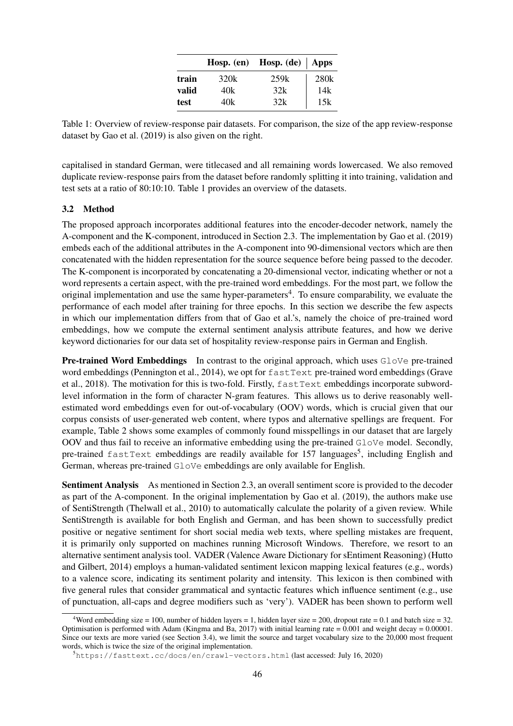|       |      | Hosp. (en) Hosp. (de) $\vert$ Apps |      |  |
|-------|------|------------------------------------|------|--|
| train | 320k | 259k                               | 280k |  |
| valid | 40k  | 32k                                | 14k  |  |
| test  | 40k  | 32k                                | 15k  |  |

Table 1: Overview of review-response pair datasets. For comparison, the size of the app review-response dataset by Gao et al. (2019) is also given on the right.

capitalised in standard German, were titlecased and all remaining words lowercased. We also removed duplicate review-response pairs from the dataset before randomly splitting it into training, validation and test sets at a ratio of 80:10:10. Table 1 provides an overview of the datasets.

## 3.2 Method

The proposed approach incorporates additional features into the encoder-decoder network, namely the A-component and the K-component, introduced in Section 2.3. The implementation by Gao et al. (2019) embeds each of the additional attributes in the A-component into 90-dimensional vectors which are then concatenated with the hidden representation for the source sequence before being passed to the decoder. The K-component is incorporated by concatenating a 20-dimensional vector, indicating whether or not a word represents a certain aspect, with the pre-trained word embeddings. For the most part, we follow the original implementation and use the same hyper-parameters<sup>4</sup>. To ensure comparability, we evaluate the performance of each model after training for three epochs. In this section we describe the few aspects in which our implementation differs from that of Gao et al.'s, namely the choice of pre-trained word embeddings, how we compute the external sentiment analysis attribute features, and how we derive keyword dictionaries for our data set of hospitality review-response pairs in German and English.

**Pre-trained Word Embeddings** In contrast to the original approach, which uses GloVe pre-trained word embeddings (Pennington et al., 2014), we opt for fastText pre-trained word embeddings (Grave et al., 2018). The motivation for this is two-fold. Firstly, fastText embeddings incorporate subwordlevel information in the form of character N-gram features. This allows us to derive reasonably wellestimated word embeddings even for out-of-vocabulary (OOV) words, which is crucial given that our corpus consists of user-generated web content, where typos and alternative spellings are frequent. For example, Table 2 shows some examples of commonly found misspellings in our dataset that are largely OOV and thus fail to receive an informative embedding using the pre-trained  $G_{\text{A}}$  ove model. Secondly, pre-trained fastText embeddings are readily available for 157 languages<sup>5</sup>, including English and German, whereas pre-trained GloVe embeddings are only available for English.

Sentiment Analysis As mentioned in Section 2.3, an overall sentiment score is provided to the decoder as part of the A-component. In the original implementation by Gao et al. (2019), the authors make use of SentiStrength (Thelwall et al., 2010) to automatically calculate the polarity of a given review. While SentiStrength is available for both English and German, and has been shown to successfully predict positive or negative sentiment for short social media web texts, where spelling mistakes are frequent, it is primarily only supported on machines running Microsoft Windows. Therefore, we resort to an alternative sentiment analysis tool. VADER (Valence Aware Dictionary for sEntiment Reasoning) (Hutto and Gilbert, 2014) employs a human-validated sentiment lexicon mapping lexical features (e.g., words) to a valence score, indicating its sentiment polarity and intensity. This lexicon is then combined with five general rules that consider grammatical and syntactic features which influence sentiment (e.g., use of punctuation, all-caps and degree modifiers such as 'very'). VADER has been shown to perform well

<sup>&</sup>lt;sup>4</sup>Word embedding size = 100, number of hidden layers = 1, hidden layer size = 200, dropout rate = 0.1 and batch size = 32. Optimisation is performed with Adam (Kingma and Ba, 2017) with initial learning rate =  $0.001$  and weight decay =  $0.00001$ . Since our texts are more varied (see Section 3.4), we limit the source and target vocabulary size to the 20,000 most frequent words, which is twice the size of the original implementation.

<sup>5</sup>https://fasttext.cc/docs/en/crawl-vectors.html (last accessed: July 16, 2020)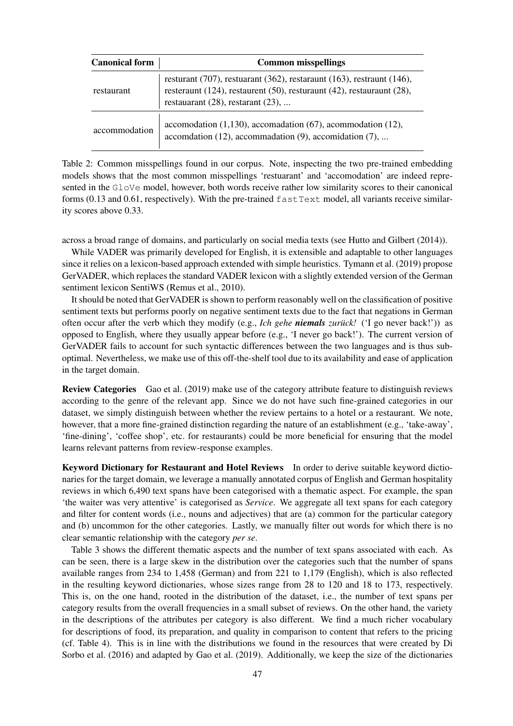| <b>Canonical form</b> | <b>Common misspellings</b>                                                                                                                                                                            |  |  |  |  |
|-----------------------|-------------------------------------------------------------------------------------------------------------------------------------------------------------------------------------------------------|--|--|--|--|
| restaurant            | resturant $(707)$ , restuarant $(362)$ , restaraunt $(163)$ , restraunt $(146)$ ,<br>resteraunt (124), restaurent (50), resturaunt (42), restauraunt (28),<br>restauarant $(28)$ , restarant $(23)$ , |  |  |  |  |
| accommodation         | accomodation $(1,130)$ , accomodation $(67)$ , acommodation $(12)$ ,<br>accomdation $(12)$ , accommadation $(9)$ , accomidation $(7)$ ,                                                               |  |  |  |  |

Table 2: Common misspellings found in our corpus. Note, inspecting the two pre-trained embedding models shows that the most common misspellings 'restuarant' and 'accomodation' are indeed represented in the GloVe model, however, both words receive rather low similarity scores to their canonical forms (0.13 and 0.61, respectively). With the pre-trained fastText model, all variants receive similarity scores above 0.33.

across a broad range of domains, and particularly on social media texts (see Hutto and Gilbert (2014)).

While VADER was primarily developed for English, it is extensible and adaptable to other languages since it relies on a lexicon-based approach extended with simple heuristics. Tymann et al. (2019) propose GerVADER, which replaces the standard VADER lexicon with a slightly extended version of the German sentiment lexicon SentiWS (Remus et al., 2010).

It should be noted that GerVADER is shown to perform reasonably well on the classification of positive sentiment texts but performs poorly on negative sentiment texts due to the fact that negations in German often occur after the verb which they modify (e.g., *Ich gehe niemals zurück!* ('I go never back!')) as opposed to English, where they usually appear before (e.g., 'I never go back!'). The current version of GerVADER fails to account for such syntactic differences between the two languages and is thus suboptimal. Nevertheless, we make use of this off-the-shelf tool due to its availability and ease of application in the target domain.

Review Categories Gao et al. (2019) make use of the category attribute feature to distinguish reviews according to the genre of the relevant app. Since we do not have such fine-grained categories in our dataset, we simply distinguish between whether the review pertains to a hotel or a restaurant. We note, however, that a more fine-grained distinction regarding the nature of an establishment (e.g., 'take-away', 'fine-dining', 'coffee shop', etc. for restaurants) could be more beneficial for ensuring that the model learns relevant patterns from review-response examples.

Keyword Dictionary for Restaurant and Hotel Reviews In order to derive suitable keyword dictionaries for the target domain, we leverage a manually annotated corpus of English and German hospitality reviews in which 6,490 text spans have been categorised with a thematic aspect. For example, the span 'the waiter was very attentive' is categorised as *Service*. We aggregate all text spans for each category and filter for content words (i.e., nouns and adjectives) that are (a) common for the particular category and (b) uncommon for the other categories. Lastly, we manually filter out words for which there is no clear semantic relationship with the category *per se*.

Table 3 shows the different thematic aspects and the number of text spans associated with each. As can be seen, there is a large skew in the distribution over the categories such that the number of spans available ranges from 234 to 1,458 (German) and from 221 to 1,179 (English), which is also reflected in the resulting keyword dictionaries, whose sizes range from 28 to 120 and 18 to 173, respectively. This is, on the one hand, rooted in the distribution of the dataset, i.e., the number of text spans per category results from the overall frequencies in a small subset of reviews. On the other hand, the variety in the descriptions of the attributes per category is also different. We find a much richer vocabulary for descriptions of food, its preparation, and quality in comparison to content that refers to the pricing (cf. Table 4). This is in line with the distributions we found in the resources that were created by Di Sorbo et al. (2016) and adapted by Gao et al. (2019). Additionally, we keep the size of the dictionaries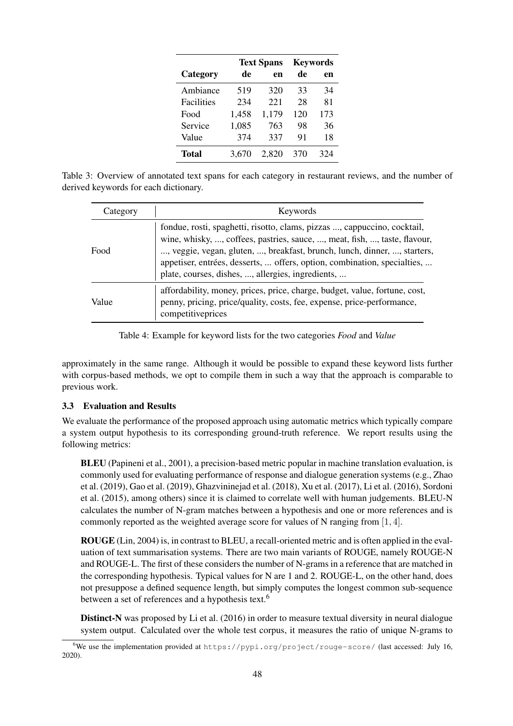|              |       | <b>Text Spans</b> | <b>Keywords</b> |     |  |
|--------------|-------|-------------------|-----------------|-----|--|
| Category     | de    | en                | de              | en  |  |
| Ambiance     | 519   | 320               | 33              | 34  |  |
| Facilities   | 234   | 221               | 28              | 81  |  |
| Food         | 1,458 | 1,179             | 120             | 173 |  |
| Service      | 1,085 | 763               | 98              | 36  |  |
| Value        | 374   | 337               | 91              | 18  |  |
| <b>Total</b> | 3,670 | 2.820             | 370             | 324 |  |

Table 3: Overview of annotated text spans for each category in restaurant reviews, and the number of derived keywords for each dictionary.

| Category | Keywords                                                                                                                                                                                                                                                                                                                                                           |  |  |  |  |
|----------|--------------------------------------------------------------------------------------------------------------------------------------------------------------------------------------------------------------------------------------------------------------------------------------------------------------------------------------------------------------------|--|--|--|--|
| Food     | fondue, rosti, spaghetti, risotto, clams, pizzas , cappuccino, cocktail,<br>wine, whisky, , coffees, pastries, sauce, , meat, fish, , taste, flavour,<br>, veggie, vegan, gluten, , breakfast, brunch, lunch, dinner, , starters,<br>appetiser, entrées, desserts,  offers, option, combination, specialties,<br>plate, courses, dishes, , allergies, ingredients, |  |  |  |  |
| Value    | affordability, money, prices, price, charge, budget, value, fortune, cost,<br>penny, pricing, price/quality, costs, fee, expense, price-performance,<br>competitiveprices                                                                                                                                                                                          |  |  |  |  |

Table 4: Example for keyword lists for the two categories *Food* and *Value*

approximately in the same range. Although it would be possible to expand these keyword lists further with corpus-based methods, we opt to compile them in such a way that the approach is comparable to previous work.

## 3.3 Evaluation and Results

We evaluate the performance of the proposed approach using automatic metrics which typically compare a system output hypothesis to its corresponding ground-truth reference. We report results using the following metrics:

BLEU (Papineni et al., 2001), a precision-based metric popular in machine translation evaluation, is commonly used for evaluating performance of response and dialogue generation systems (e.g., Zhao et al. (2019), Gao et al. (2019), Ghazvininejad et al. (2018), Xu et al. (2017), Li et al. (2016), Sordoni et al. (2015), among others) since it is claimed to correlate well with human judgements. BLEU-N calculates the number of N-gram matches between a hypothesis and one or more references and is commonly reported as the weighted average score for values of N ranging from [1, 4].

ROUGE (Lin, 2004) is, in contrast to BLEU, a recall-oriented metric and is often applied in the evaluation of text summarisation systems. There are two main variants of ROUGE, namely ROUGE-N and ROUGE-L. The first of these considers the number of N-grams in a reference that are matched in the corresponding hypothesis. Typical values for N are 1 and 2. ROUGE-L, on the other hand, does not presuppose a defined sequence length, but simply computes the longest common sub-sequence between a set of references and a hypothesis text.<sup>6</sup>

Distinct-N was proposed by Li et al. (2016) in order to measure textual diversity in neural dialogue system output. Calculated over the whole test corpus, it measures the ratio of unique N-grams to

<sup>&</sup>lt;sup>6</sup>We use the implementation provided at https://pypi.org/project/rouge-score/ (last accessed: July 16, 2020).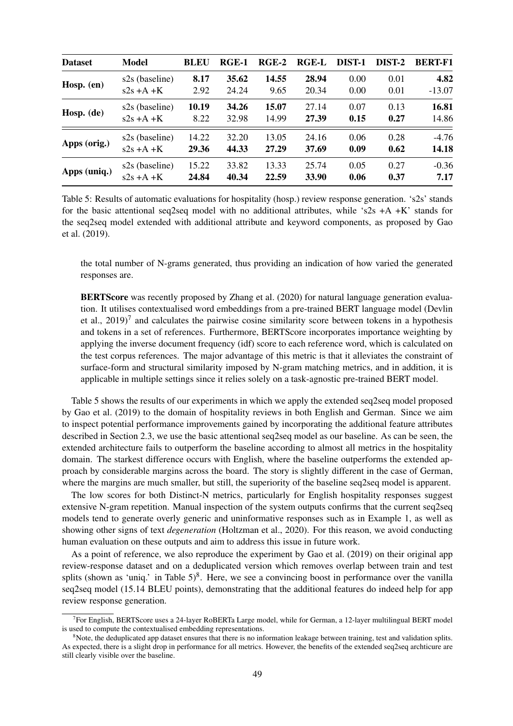| <b>Dataset</b> | <b>Model</b>   | <b>BLEU</b> | $RGE-1$ | $RGE-2$ | <b>RGE-L</b> | DIST-1 | DIST-2 | <b>BERT-F1</b> |
|----------------|----------------|-------------|---------|---------|--------------|--------|--------|----------------|
| Hosp. $(en)$   | s2s (baseline) | 8.17        | 35.62   | 14.55   | 28.94        | 0.00   | 0.01   | 4.82           |
|                | $s2s + A + K$  | 2.92        | 24.24   | 9.65    | 20.34        | 0.00   | 0.01   | $-13.07$       |
| Hosp. (de)     | s2s (baseline) | 10.19       | 34.26   | 15.07   | 27.14        | 0.07   | 0.13   | 16.81          |
|                | $s2s + A + K$  | 8.22        | 32.98   | 14.99   | 27.39        | 0.15   | 0.27   | 14.86          |
| Apps (orig.)   | s2s (baseline) | 14.22       | 32.20   | 13.05   | 24.16        | 0.06   | 0.28   | $-4.76$        |
|                | $s2s + A + K$  | 29.36       | 44.33   | 27.29   | 37.69        | 0.09   | 0.62   | 14.18          |
| Apps (uniq.)   | s2s (baseline) | 15.22       | 33.82   | 13.33   | 25.74        | 0.05   | 0.27   | $-0.36$        |
|                | $s2s + A + K$  | 24.84       | 40.34   | 22.59   | 33.90        | 0.06   | 0.37   | 7.17           |

Table 5: Results of automatic evaluations for hospitality (hosp.) review response generation. 's2s' stands for the basic attentional seq2seq model with no additional attributes, while 's2s  $+A+K'$  stands for the seq2seq model extended with additional attribute and keyword components, as proposed by Gao et al. (2019).

the total number of N-grams generated, thus providing an indication of how varied the generated responses are.

BERTScore was recently proposed by Zhang et al. (2020) for natural language generation evaluation. It utilises contextualised word embeddings from a pre-trained BERT language model (Devlin et al.,  $2019$ <sup>7</sup> and calculates the pairwise cosine similarity score between tokens in a hypothesis and tokens in a set of references. Furthermore, BERTScore incorporates importance weighting by applying the inverse document frequency (idf) score to each reference word, which is calculated on the test corpus references. The major advantage of this metric is that it alleviates the constraint of surface-form and structural similarity imposed by N-gram matching metrics, and in addition, it is applicable in multiple settings since it relies solely on a task-agnostic pre-trained BERT model.

Table 5 shows the results of our experiments in which we apply the extended seq2seq model proposed by Gao et al. (2019) to the domain of hospitality reviews in both English and German. Since we aim to inspect potential performance improvements gained by incorporating the additional feature attributes described in Section 2.3, we use the basic attentional seq2seq model as our baseline. As can be seen, the extended architecture fails to outperform the baseline according to almost all metrics in the hospitality domain. The starkest difference occurs with English, where the baseline outperforms the extended approach by considerable margins across the board. The story is slightly different in the case of German, where the margins are much smaller, but still, the superiority of the baseline seq2seq model is apparent.

The low scores for both Distinct-N metrics, particularly for English hospitality responses suggest extensive N-gram repetition. Manual inspection of the system outputs confirms that the current seq2seq models tend to generate overly generic and uninformative responses such as in Example 1, as well as showing other signs of text *degeneration* (Holtzman et al., 2020). For this reason, we avoid conducting human evaluation on these outputs and aim to address this issue in future work.

As a point of reference, we also reproduce the experiment by Gao et al. (2019) on their original app review-response dataset and on a deduplicated version which removes overlap between train and test splits (shown as 'uniq.' in Table  $5)^8$ . Here, we see a convincing boost in performance over the vanilla seq2seq model (15.14 BLEU points), demonstrating that the additional features do indeed help for app review response generation.

<sup>&</sup>lt;sup>7</sup> For English, BERTScore uses a 24-layer RoBERTa Large model, while for German, a 12-layer multilingual BERT model is used to compute the contextualised embedding representations.

 ${}^{8}$ Note, the deduplicated app dataset ensures that there is no information leakage between training, test and validation splits. As expected, there is a slight drop in performance for all metrics. However, the benefits of the extended seq2seq archticure are still clearly visible over the baseline.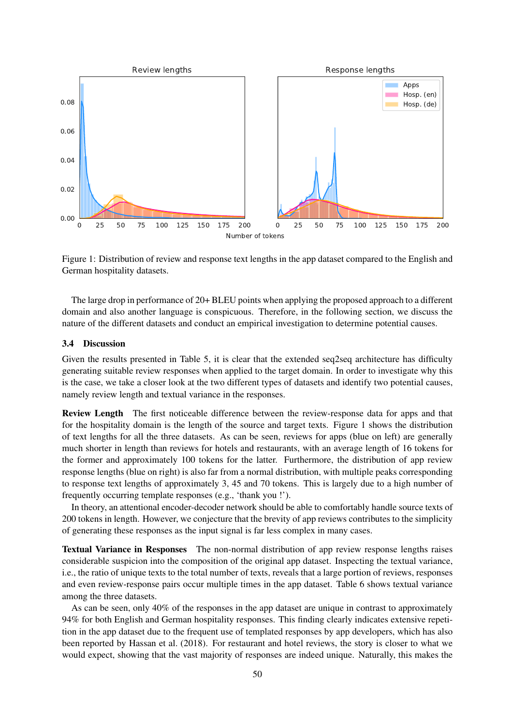

Figure 1: Distribution of review and response text lengths in the app dataset compared to the English and German hospitality datasets.

The large drop in performance of 20+ BLEU points when applying the proposed approach to a different domain and also another language is conspicuous. Therefore, in the following section, we discuss the nature of the different datasets and conduct an empirical investigation to determine potential causes.

## 3.4 Discussion

Given the results presented in Table 5, it is clear that the extended seq2seq architecture has difficulty generating suitable review responses when applied to the target domain. In order to investigate why this is the case, we take a closer look at the two different types of datasets and identify two potential causes, namely review length and textual variance in the responses.

Review Length The first noticeable difference between the review-response data for apps and that for the hospitality domain is the length of the source and target texts. Figure 1 shows the distribution of text lengths for all the three datasets. As can be seen, reviews for apps (blue on left) are generally much shorter in length than reviews for hotels and restaurants, with an average length of 16 tokens for the former and approximately 100 tokens for the latter. Furthermore, the distribution of app review response lengths (blue on right) is also far from a normal distribution, with multiple peaks corresponding to response text lengths of approximately 3, 45 and 70 tokens. This is largely due to a high number of frequently occurring template responses (e.g., 'thank you !').

In theory, an attentional encoder-decoder network should be able to comfortably handle source texts of 200 tokens in length. However, we conjecture that the brevity of app reviews contributes to the simplicity of generating these responses as the input signal is far less complex in many cases.

Textual Variance in Responses The non-normal distribution of app review response lengths raises considerable suspicion into the composition of the original app dataset. Inspecting the textual variance, i.e., the ratio of unique texts to the total number of texts, reveals that a large portion of reviews, responses and even review-response pairs occur multiple times in the app dataset. Table 6 shows textual variance among the three datasets.

As can be seen, only 40% of the responses in the app dataset are unique in contrast to approximately 94% for both English and German hospitality responses. This finding clearly indicates extensive repetition in the app dataset due to the frequent use of templated responses by app developers, which has also been reported by Hassan et al. (2018). For restaurant and hotel reviews, the story is closer to what we would expect, showing that the vast majority of responses are indeed unique. Naturally, this makes the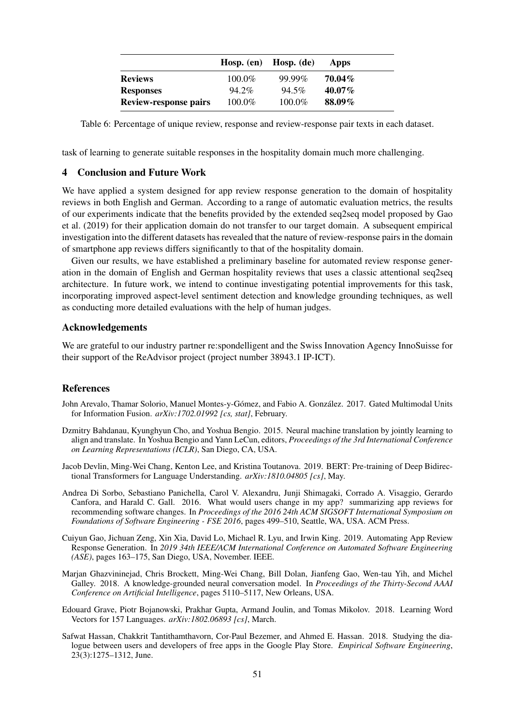|                              |           | Hosp. $(en)$ Hosp. $(de)$ | Apps      |
|------------------------------|-----------|---------------------------|-----------|
| <b>Reviews</b>               | $100.0\%$ | 99.99%                    | $70.04\%$ |
| <b>Responses</b>             | 94.2%     | $94.5\%$                  | $40.07\%$ |
| <b>Review-response pairs</b> | 100.0%    | $100.0\%$                 | 88.09%    |

Table 6: Percentage of unique review, response and review-response pair texts in each dataset.

task of learning to generate suitable responses in the hospitality domain much more challenging.

## 4 Conclusion and Future Work

We have applied a system designed for app review response generation to the domain of hospitality reviews in both English and German. According to a range of automatic evaluation metrics, the results of our experiments indicate that the benefits provided by the extended seq2seq model proposed by Gao et al. (2019) for their application domain do not transfer to our target domain. A subsequent empirical investigation into the different datasets has revealed that the nature of review-response pairs in the domain of smartphone app reviews differs significantly to that of the hospitality domain.

Given our results, we have established a preliminary baseline for automated review response generation in the domain of English and German hospitality reviews that uses a classic attentional seq2seq architecture. In future work, we intend to continue investigating potential improvements for this task, incorporating improved aspect-level sentiment detection and knowledge grounding techniques, as well as conducting more detailed evaluations with the help of human judges.

#### Acknowledgements

We are grateful to our industry partner re:spondelligent and the Swiss Innovation Agency InnoSuisse for their support of the ReAdvisor project (project number 38943.1 IP-ICT).

#### References

- John Arevalo, Thamar Solorio, Manuel Montes-y-Gómez, and Fabio A. González. 2017. Gated Multimodal Units for Information Fusion. *arXiv:1702.01992 [cs, stat]*, February.
- Dzmitry Bahdanau, Kyunghyun Cho, and Yoshua Bengio. 2015. Neural machine translation by jointly learning to align and translate. In Yoshua Bengio and Yann LeCun, editors, *Proceedings of the 3rd International Conference on Learning Representations (ICLR)*, San Diego, CA, USA.
- Jacob Devlin, Ming-Wei Chang, Kenton Lee, and Kristina Toutanova. 2019. BERT: Pre-training of Deep Bidirectional Transformers for Language Understanding. *arXiv:1810.04805 [cs]*, May.
- Andrea Di Sorbo, Sebastiano Panichella, Carol V. Alexandru, Junji Shimagaki, Corrado A. Visaggio, Gerardo Canfora, and Harald C. Gall. 2016. What would users change in my app? summarizing app reviews for recommending software changes. In *Proceedings of the 2016 24th ACM SIGSOFT International Symposium on Foundations of Software Engineering - FSE 2016*, pages 499–510, Seattle, WA, USA. ACM Press.
- Cuiyun Gao, Jichuan Zeng, Xin Xia, David Lo, Michael R. Lyu, and Irwin King. 2019. Automating App Review Response Generation. In *2019 34th IEEE/ACM International Conference on Automated Software Engineering (ASE)*, pages 163–175, San Diego, USA, November. IEEE.
- Marjan Ghazvininejad, Chris Brockett, Ming-Wei Chang, Bill Dolan, Jianfeng Gao, Wen-tau Yih, and Michel Galley. 2018. A knowledge-grounded neural conversation model. In *Proceedings of the Thirty-Second AAAI Conference on Artificial Intelligence*, pages 5110–5117, New Orleans, USA.
- Edouard Grave, Piotr Bojanowski, Prakhar Gupta, Armand Joulin, and Tomas Mikolov. 2018. Learning Word Vectors for 157 Languages. *arXiv:1802.06893 [cs]*, March.
- Safwat Hassan, Chakkrit Tantithamthavorn, Cor-Paul Bezemer, and Ahmed E. Hassan. 2018. Studying the dialogue between users and developers of free apps in the Google Play Store. *Empirical Software Engineering*, 23(3):1275–1312, June.